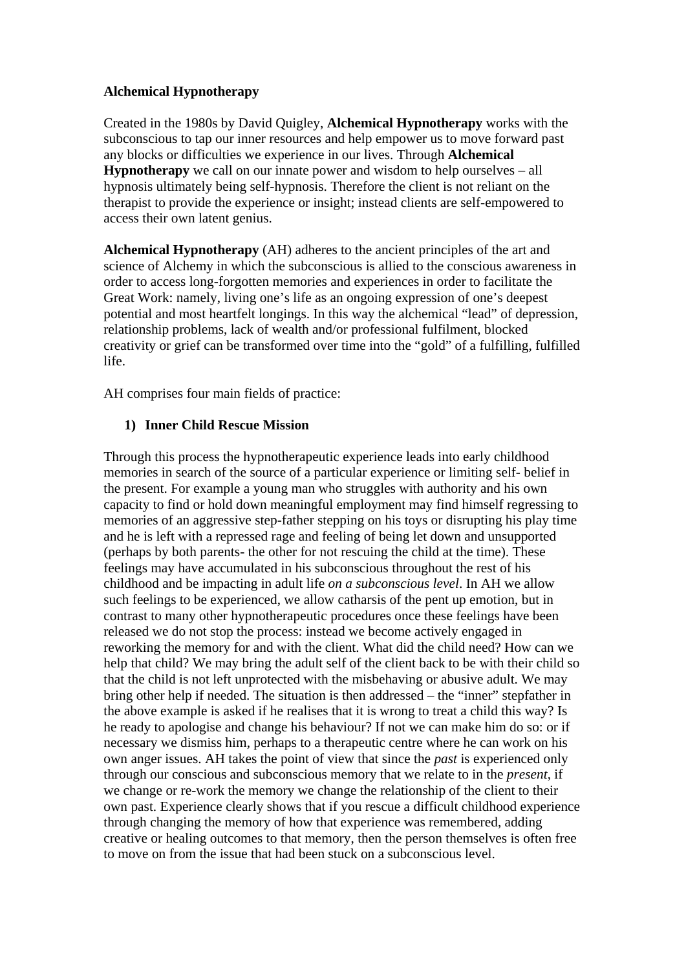## **Alchemical Hypnotherapy**

Created in the 1980s by David Quigley, **Alchemical Hypnotherapy** works with the subconscious to tap our inner resources and help empower us to move forward past any blocks or difficulties we experience in our lives. Through **Alchemical Hypnotherapy** we call on our innate power and wisdom to help ourselves – all hypnosis ultimately being self-hypnosis. Therefore the client is not reliant on the therapist to provide the experience or insight; instead clients are self-empowered to access their own latent genius.

**Alchemical Hypnotherapy** (AH) adheres to the ancient principles of the art and science of Alchemy in which the subconscious is allied to the conscious awareness in order to access long-forgotten memories and experiences in order to facilitate the Great Work: namely, living one's life as an ongoing expression of one's deepest potential and most heartfelt longings. In this way the alchemical "lead" of depression, relationship problems, lack of wealth and/or professional fulfilment, blocked creativity or grief can be transformed over time into the "gold" of a fulfilling, fulfilled life.

AH comprises four main fields of practice:

# **1) Inner Child Rescue Mission**

Through this process the hypnotherapeutic experience leads into early childhood memories in search of the source of a particular experience or limiting self- belief in the present. For example a young man who struggles with authority and his own capacity to find or hold down meaningful employment may find himself regressing to memories of an aggressive step-father stepping on his toys or disrupting his play time and he is left with a repressed rage and feeling of being let down and unsupported (perhaps by both parents- the other for not rescuing the child at the time). These feelings may have accumulated in his subconscious throughout the rest of his childhood and be impacting in adult life *on a subconscious level*. In AH we allow such feelings to be experienced, we allow catharsis of the pent up emotion, but in contrast to many other hypnotherapeutic procedures once these feelings have been released we do not stop the process: instead we become actively engaged in reworking the memory for and with the client. What did the child need? How can we help that child? We may bring the adult self of the client back to be with their child so that the child is not left unprotected with the misbehaving or abusive adult. We may bring other help if needed. The situation is then addressed – the "inner" stepfather in the above example is asked if he realises that it is wrong to treat a child this way? Is he ready to apologise and change his behaviour? If not we can make him do so: or if necessary we dismiss him, perhaps to a therapeutic centre where he can work on his own anger issues. AH takes the point of view that since the *past* is experienced only through our conscious and subconscious memory that we relate to in the *present*, if we change or re-work the memory we change the relationship of the client to their own past. Experience clearly shows that if you rescue a difficult childhood experience through changing the memory of how that experience was remembered, adding creative or healing outcomes to that memory, then the person themselves is often free to move on from the issue that had been stuck on a subconscious level.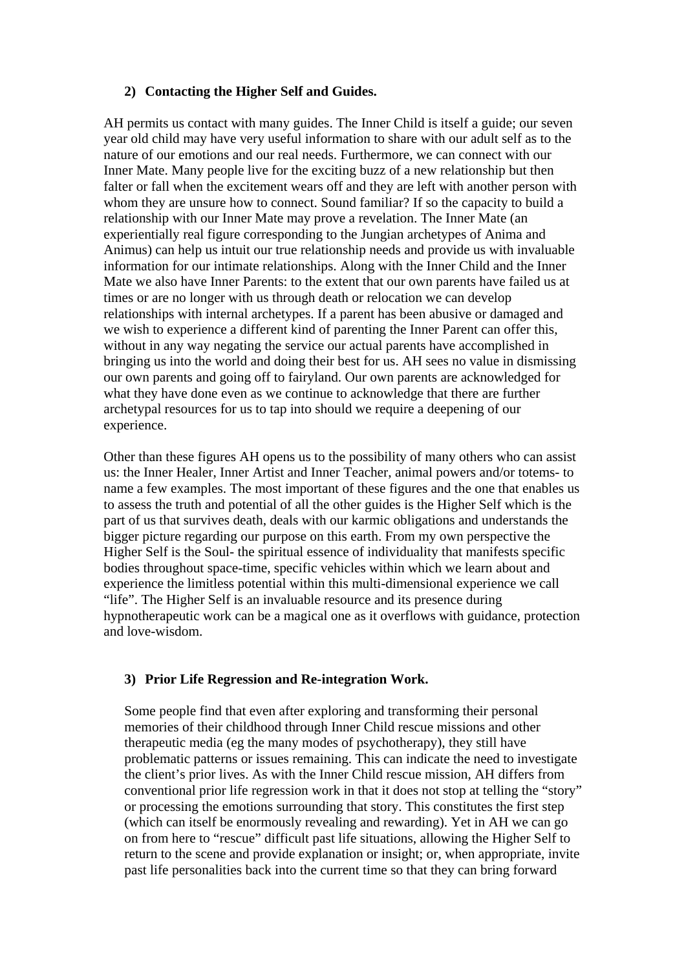## **2) Contacting the Higher Self and Guides.**

AH permits us contact with many guides. The Inner Child is itself a guide; our seven year old child may have very useful information to share with our adult self as to the nature of our emotions and our real needs. Furthermore, we can connect with our Inner Mate. Many people live for the exciting buzz of a new relationship but then falter or fall when the excitement wears off and they are left with another person with whom they are unsure how to connect. Sound familiar? If so the capacity to build a relationship with our Inner Mate may prove a revelation. The Inner Mate (an experientially real figure corresponding to the Jungian archetypes of Anima and Animus) can help us intuit our true relationship needs and provide us with invaluable information for our intimate relationships. Along with the Inner Child and the Inner Mate we also have Inner Parents: to the extent that our own parents have failed us at times or are no longer with us through death or relocation we can develop relationships with internal archetypes. If a parent has been abusive or damaged and we wish to experience a different kind of parenting the Inner Parent can offer this, without in any way negating the service our actual parents have accomplished in bringing us into the world and doing their best for us. AH sees no value in dismissing our own parents and going off to fairyland. Our own parents are acknowledged for what they have done even as we continue to acknowledge that there are further archetypal resources for us to tap into should we require a deepening of our experience.

Other than these figures AH opens us to the possibility of many others who can assist us: the Inner Healer, Inner Artist and Inner Teacher, animal powers and/or totems- to name a few examples. The most important of these figures and the one that enables us to assess the truth and potential of all the other guides is the Higher Self which is the part of us that survives death, deals with our karmic obligations and understands the bigger picture regarding our purpose on this earth. From my own perspective the Higher Self is the Soul- the spiritual essence of individuality that manifests specific bodies throughout space-time, specific vehicles within which we learn about and experience the limitless potential within this multi-dimensional experience we call "life". The Higher Self is an invaluable resource and its presence during hypnotherapeutic work can be a magical one as it overflows with guidance, protection and love-wisdom.

# **3) Prior Life Regression and Re-integration Work.**

Some people find that even after exploring and transforming their personal memories of their childhood through Inner Child rescue missions and other therapeutic media (eg the many modes of psychotherapy), they still have problematic patterns or issues remaining. This can indicate the need to investigate the client's prior lives. As with the Inner Child rescue mission, AH differs from conventional prior life regression work in that it does not stop at telling the "story" or processing the emotions surrounding that story. This constitutes the first step (which can itself be enormously revealing and rewarding). Yet in AH we can go on from here to "rescue" difficult past life situations, allowing the Higher Self to return to the scene and provide explanation or insight; or, when appropriate, invite past life personalities back into the current time so that they can bring forward